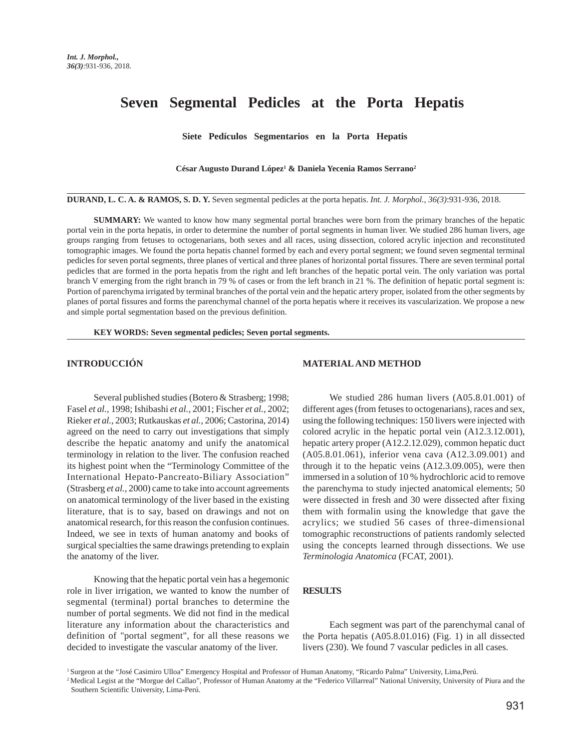# **Seven Segmental Pedicles at the Porta Hepatis**

**Siete Pedículos Segmentarios en la Porta Hepatis**

**César Augusto Durand López1 & Daniela Yecenia Ramos Serrano2**

**DURAND, L. C. A. & RAMOS, S. D. Y.** Seven segmental pedicles at the porta hepatis. *Int. J. Morphol., 36(3)*:931-936, 2018.

**SUMMARY:** We wanted to know how many segmental portal branches were born from the primary branches of the hepatic portal vein in the porta hepatis, in order to determine the number of portal segments in human liver. We studied 286 human livers, age groups ranging from fetuses to octogenarians, both sexes and all races, using dissection, colored acrylic injection and reconstituted tomographic images. We found the porta hepatis channel formed by each and every portal segment; we found seven segmental terminal pedicles for seven portal segments, three planes of vertical and three planes of horizontal portal fissures. There are seven terminal portal pedicles that are formed in the porta hepatis from the right and left branches of the hepatic portal vein. The only variation was portal branch V emerging from the right branch in 79 % of cases or from the left branch in 21 %. The definition of hepatic portal segment is: Portion of parenchyma irrigated by terminal branches of the portal vein and the hepatic artery proper, isolated from the other segments by planes of portal fissures and forms the parenchymal channel of the porta hepatis where it receives its vascularization. We propose a new and simple portal segmentation based on the previous definition.

**KEY WORDS: Seven segmental pedicles; Seven portal segments.**

## **INTRODUCCIÓN**

Several published studies (Botero & Strasberg; 1998; Fasel *et al.,* 1998; Ishibashi *et al.,* 2001; Fischer *et al.*, 2002; Rieker *et al.*, 2003; Rutkauskas *et al.*, 2006; Castorina, 2014) agreed on the need to carry out investigations that simply describe the hepatic anatomy and unify the anatomical terminology in relation to the liver. The confusion reached its highest point when the "Terminology Committee of the International Hepato-Pancreato-Biliary Association" (Strasberg *et al.*, 2000) came to take into account agreements on anatomical terminology of the liver based in the existing literature, that is to say, based on drawings and not on anatomical research, for this reason the confusion continues. Indeed, we see in texts of human anatomy and books of surgical specialties the same drawings pretending to explain the anatomy of the liver.

Knowing that the hepatic portal vein has a hegemonic role in liver irrigation, we wanted to know the number of segmental (terminal) portal branches to determine the number of portal segments. We did not find in the medical literature any information about the characteristics and definition of "portal segment", for all these reasons we decided to investigate the vascular anatomy of the liver.

# **MATERIAL AND METHOD**

We studied 286 human livers (A05.8.01.001) of different ages (from fetuses to octogenarians), races and sex, using the following techniques: 150 livers were injected with colored acrylic in the hepatic portal vein (A12.3.12.001), hepatic artery proper (A12.2.12.029), common hepatic duct (A05.8.01.061), inferior vena cava (A12.3.09.001) and through it to the hepatic veins (A12.3.09.005), were then immersed in a solution of 10 % hydrochloric acid to remove the parenchyma to study injected anatomical elements; 50 were dissected in fresh and 30 were dissected after fixing them with formalin using the knowledge that gave the acrylics; we studied 56 cases of three-dimensional tomographic reconstructions of patients randomly selected using the concepts learned through dissections. We use *Terminologia Anatomica* (FCAT, 2001).

## **RESULTS**

Each segment was part of the parenchymal canal of the Porta hepatis (A05.8.01.016) (Fig. 1) in all dissected livers (230). We found 7 vascular pedicles in all cases.

<sup>1</sup> Surgeon at the "José Casimiro Ulloa" Emergency Hospital and Professor of Human Anatomy, "Ricardo Palma" University, Lima,Perú.

<sup>&</sup>lt;sup>2</sup> Medical Legist at the "Morgue del Callao", Professor of Human Anatomy at the "Federico Villarreal" National University, University of Piura and the Southern Scientific University, Lima-Perú.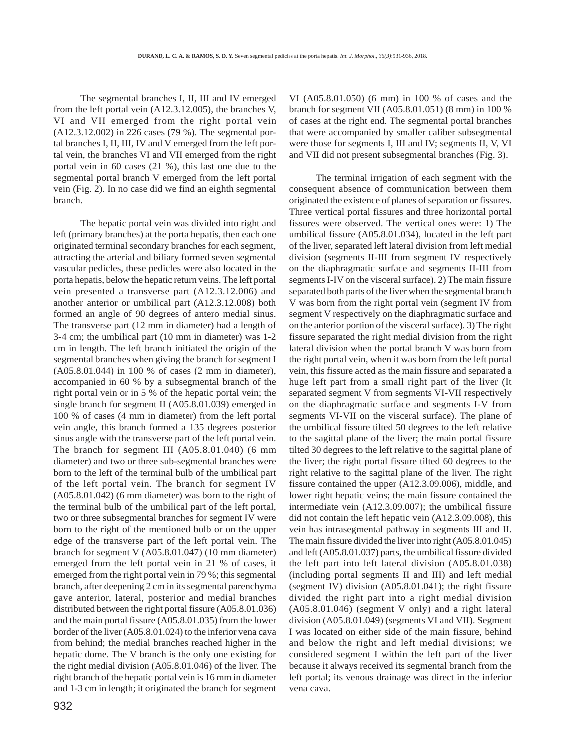The segmental branches I, II, III and IV emerged from the left portal vein (A12.3.12.005), the branches V, VI and VII emerged from the right portal vein (A12.3.12.002) in 226 cases (79 %). The segmental portal branches I, II, III, IV and V emerged from the left portal vein, the branches VI and VII emerged from the right portal vein in 60 cases (21 %), this last one due to the segmental portal branch V emerged from the left portal vein (Fig. 2). In no case did we find an eighth segmental branch.

The hepatic portal vein was divided into right and left (primary branches) at the porta hepatis, then each one originated terminal secondary branches for each segment, attracting the arterial and biliary formed seven segmental vascular pedicles, these pedicles were also located in the porta hepatis, below the hepatic return veins. The left portal vein presented a transverse part (A12.3.12.006) and another anterior or umbilical part (A12.3.12.008) both formed an angle of 90 degrees of antero medial sinus. The transverse part (12 mm in diameter) had a length of 3-4 cm; the umbilical part (10 mm in diameter) was 1-2 cm in length. The left branch initiated the origin of the segmental branches when giving the branch for segment I (A05.8.01.044) in 100 % of cases (2 mm in diameter), accompanied in 60 % by a subsegmental branch of the right portal vein or in 5 % of the hepatic portal vein; the single branch for segment II (A05.8.01.039) emerged in 100 % of cases (4 mm in diameter) from the left portal vein angle, this branch formed a 135 degrees posterior sinus angle with the transverse part of the left portal vein. The branch for segment III (A05.8.01.040) (6 mm diameter) and two or three sub-segmental branches were born to the left of the terminal bulb of the umbilical part of the left portal vein. The branch for segment IV (A05.8.01.042) (6 mm diameter) was born to the right of the terminal bulb of the umbilical part of the left portal, two or three subsegmental branches for segment IV were born to the right of the mentioned bulb or on the upper edge of the transverse part of the left portal vein. The branch for segment V (A05.8.01.047) (10 mm diameter) emerged from the left portal vein in 21 % of cases, it emerged from the right portal vein in 79 %; this segmental branch, after deepening 2 cm in its segmental parenchyma gave anterior, lateral, posterior and medial branches distributed between the right portal fissure (A05.8.01.036) and the main portal fissure (A05.8.01.035) from the lower border of the liver (A05.8.01.024) to the inferior vena cava from behind; the medial branches reached higher in the hepatic dome. The V branch is the only one existing for the right medial division (A05.8.01.046) of the liver. The right branch of the hepatic portal vein is 16 mm in diameter and 1-3 cm in length; it originated the branch for segment

VI (A05.8.01.050) (6 mm) in 100 % of cases and the branch for segment VII (A05.8.01.051) (8 mm) in 100 % of cases at the right end. The segmental portal branches that were accompanied by smaller caliber subsegmental were those for segments I, III and IV; segments II, V, VI and VII did not present subsegmental branches (Fig. 3).

The terminal irrigation of each segment with the consequent absence of communication between them originated the existence of planes of separation or fissures. Three vertical portal fissures and three horizontal portal fissures were observed. The vertical ones were: 1) The umbilical fissure (A05.8.01.034), located in the left part of the liver, separated left lateral division from left medial division (segments II-III from segment IV respectively on the diaphragmatic surface and segments II-III from segments I-IV on the visceral surface). 2) The main fissure separated both parts of the liver when the segmental branch V was born from the right portal vein (segment IV from segment V respectively on the diaphragmatic surface and on the anterior portion of the visceral surface). 3) The right fissure separated the right medial division from the right lateral division when the portal branch V was born from the right portal vein, when it was born from the left portal vein, this fissure acted as the main fissure and separated a huge left part from a small right part of the liver (It separated segment V from segments VI-VII respectively on the diaphragmatic surface and segments I-V from segments VI-VII on the visceral surface). The plane of the umbilical fissure tilted 50 degrees to the left relative to the sagittal plane of the liver; the main portal fissure tilted 30 degrees to the left relative to the sagittal plane of the liver; the right portal fissure tilted 60 degrees to the right relative to the sagittal plane of the liver. The right fissure contained the upper (A12.3.09.006), middle, and lower right hepatic veins; the main fissure contained the intermediate vein (A12.3.09.007); the umbilical fissure did not contain the left hepatic vein (A12.3.09.008), this vein has intrasegmental pathway in segments III and II. The main fissure divided the liver into right (A05.8.01.045) and left (A05.8.01.037) parts, the umbilical fissure divided the left part into left lateral division (A05.8.01.038) (including portal segments II and III) and left medial (segment IV) division (A05.8.01.041); the right fissure divided the right part into a right medial division (A05.8.01.046) (segment V only) and a right lateral division (A05.8.01.049) (segments VI and VII). Segment I was located on either side of the main fissure, behind and below the right and left medial divisions; we considered segment I within the left part of the liver because it always received its segmental branch from the left portal; its venous drainage was direct in the inferior vena cava.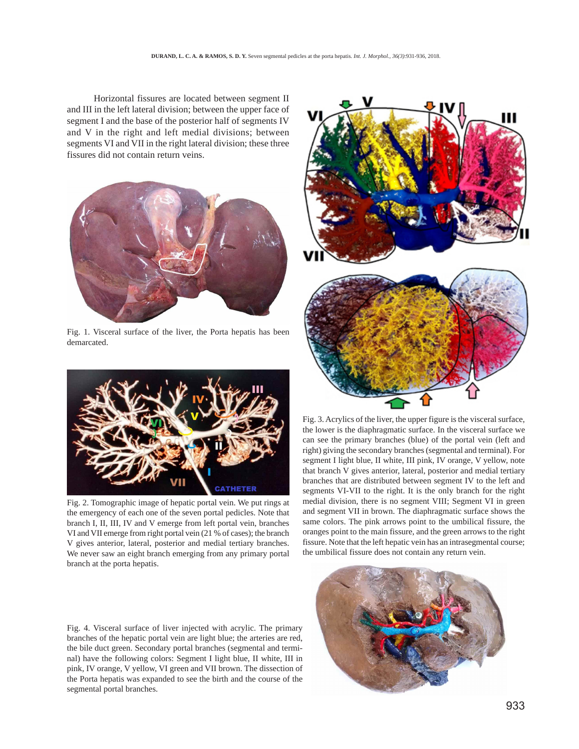Horizontal fissures are located between segment II and III in the left lateral division; between the upper face of segment I and the base of the posterior half of segments IV and V in the right and left medial divisions; between segments VI and VII in the right lateral division; these three fissures did not contain return veins.



Fig. 1. Visceral surface of the liver, the Porta hepatis has been demarcated.



Fig. 2. Tomographic image of hepatic portal vein. We put rings at the emergency of each one of the seven portal pedicles. Note that branch I, II, III, IV and V emerge from left portal vein, branches VI and VII emerge from right portal vein (21 % of cases); the branch V gives anterior, lateral, posterior and medial tertiary branches. We never saw an eight branch emerging from any primary portal branch at the porta hepatis.

Fig. 4. Visceral surface of liver injected with acrylic. The primary branches of the hepatic portal vein are light blue; the arteries are red, the bile duct green. Secondary portal branches (segmental and terminal) have the following colors: Segment I light blue, II white, III in pink, IV orange, V yellow, VI green and VII brown. The dissection of the Porta hepatis was expanded to see the birth and the course of the segmental portal branches.



Fig. 3. Acrylics of the liver, the upper figure is the visceral surface, the lower is the diaphragmatic surface. In the visceral surface we can see the primary branches (blue) of the portal vein (left and right) giving the secondary branches (segmental and terminal). For segment I light blue, II white, III pink, IV orange, V yellow, note that branch V gives anterior, lateral, posterior and medial tertiary branches that are distributed between segment IV to the left and segments VI-VII to the right. It is the only branch for the right medial division, there is no segment VIII; Segment VI in green and segment VII in brown. The diaphragmatic surface shows the same colors. The pink arrows point to the umbilical fissure, the oranges point to the main fissure, and the green arrows to the right fissure. Note that the left hepatic vein has an intrasegmental course; the umbilical fissure does not contain any return vein.

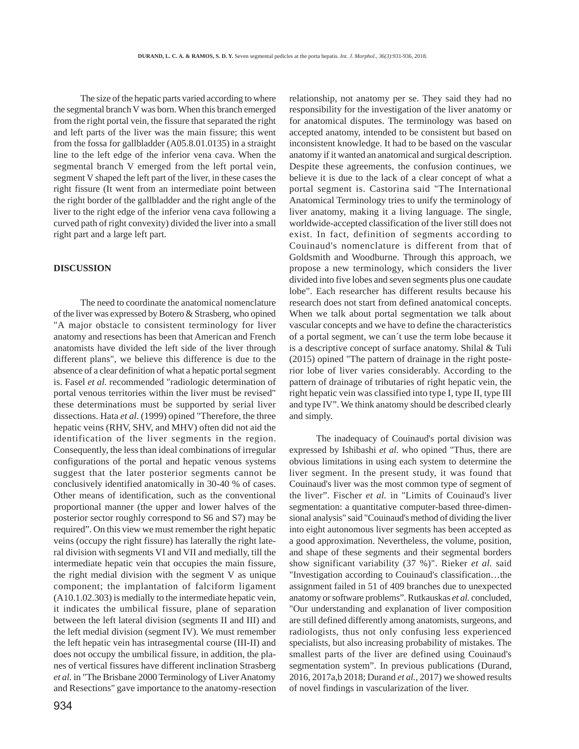The size of the hepatic parts varied according to where the segmental branch V was born. When this branch emerged from the right portal vein, the fissure that separated the right and left parts of the liver was the main fissure; this went from the fossa for gallbladder (A05.8.01.0135) in a straight line to the left edge of the inferior vena cava. When the segmental branch V emerged from the left portal vein, segment V shaped the left part of the liver, in these cases the right fissure (It went from an intermediate point between the right border of the gallbladder and the right angle of the liver to the right edge of the inferior vena cava following a curved path of right convexity) divided the liver into a small right part and a large left part.

#### **DISCUSSION**

The need to coordinate the anatomical nomenclature of the liver was expressed by Botero & Strasberg, who opined "A major obstacle to consistent terminology for liver anatomy and resections has been that American and French anatomists have divided the left side of the liver through different plans", we believe this difference is due to the absence of a clear definition of what a hepatic portal segment is. Fasel *et al.* recommended "radiologic determination of portal venous territories within the liver must be revised" these determinations must be supported by serial liver dissections. Hata *et al.* (1999) opined "Therefore, the three hepatic veins (RHV, SHV, and MHV) often did not aid the identification of the liver segments in the region. Consequently, the less than ideal combinations of irregular configurations of the portal and hepatic venous systems suggest that the later posterior segments cannot be conclusively identified anatomically in 30-40 % of cases. Other means of identification, such as the conventional proportional manner (the upper and lower halves of the posterior sector roughly correspond to S6 and S7) may be required". On this view we must remember the right hepatic veins (occupy the right fissure) has laterally the right lateral division with segments VI and VII and medially, till the intermediate hepatic vein that occupies the main fissure, the right medial division with the segment V as unique component; the implantation of falciform ligament (A10.1.02.303) is medially to the intermediate hepatic vein, it indicates the umbilical fissure, plane of separation between the left lateral division (segments II and III) and the left medial division (segment IV). We must remember the left hepatic vein has intrasegmental course (III-II) and does not occupy the umbilical fissure, in addition, the planes of vertical fissures have different inclination Strasberg *et al.* in "The Brisbane 2000 Terminology of Liver Anatomy and Resections" gave importance to the anatomy-resection relationship, not anatomy per se. They said they had no responsibility for the investigation of the liver anatomy or for anatomical disputes. The terminology was based on accepted anatomy, intended to be consistent but based on inconsistent knowledge. It had to be based on the vascular anatomy if it wanted an anatomical and surgical description. Despite these agreements, the confusion continues, we believe it is due to the lack of a clear concept of what a portal segment is. Castorina said "The International Anatomical Terminology tries to unify the terminology of liver anatomy, making it a living language. The single, worldwide-accepted classification of the liver still does not exist. In fact, definition of segments according to Couinaud's nomenclature is different from that of Goldsmith and Woodburne. Through this approach, we propose a new terminology, which considers the liver divided into five lobes and seven segments plus one caudate lobe". Each researcher has different results because his research does not start from defined anatomical concepts. When we talk about portal segmentation we talk about vascular concepts and we have to define the characteristics of a portal segment, we can´t use the term lobe because it is a descriptive concept of surface anatomy. Shilal & Tuli (2015) opined "The pattern of drainage in the right posterior lobe of liver varies considerably. According to the pattern of drainage of tributaries of right hepatic vein, the right hepatic vein was classified into type I, type II, type III and type IV". We think anatomy should be described clearly and simply.

The inadequacy of Couinaud's portal division was expressed by Ishibashi *et al.* who opined "Thus, there are obvious limitations in using each system to determine the liver segment. In the present study, it was found that Couinaud's liver was the most common type of segment of the liver". Fischer *et al.* in "Limits of Couinaud's liver segmentation: a quantitative computer-based three-dimensional analysis" said "Couinaud's method of dividing the liver into eight autonomous liver segments has been accepted as a good approximation. Nevertheless, the volume, position, and shape of these segments and their segmental borders show significant variability (37 %)". Rieker *et al.* said "Investigation according to Couinaud's classification…the assignment failed in 51 of 409 branches due to unexpected anatomy or software problems". Rutkauskas *et al.* concluded, "Our understanding and explanation of liver composition are still defined differently among anatomists, surgeons, and radiologists, thus not only confusing less experienced specialists, but also increasing probability of mistakes. The smallest parts of the liver are defined using Couinaud's segmentation system". In previous publications (Durand, 2016, 2017a,b 2018; Durand *et al.*, 2017) we showed results of novel findings in vascularization of the liver.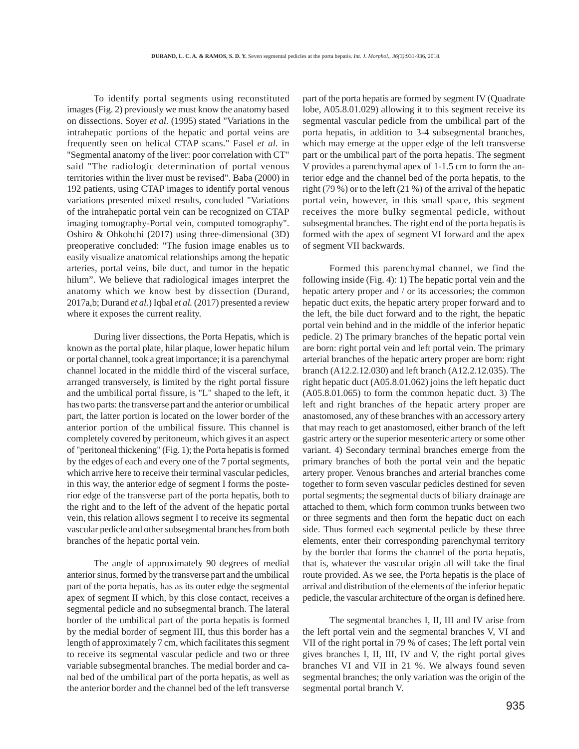To identify portal segments using reconstituted images (Fig. 2) previously we must know the anatomy based on dissections. Soyer *et al.* (1995) stated "Variations in the intrahepatic portions of the hepatic and portal veins are frequently seen on helical CTAP scans." Fasel *et al.* in "Segmental anatomy of the liver: poor correlation with CT" said "The radiologic determination of portal venous territories within the liver must be revised". Baba (2000) in 192 patients, using CTAP images to identify portal venous variations presented mixed results, concluded "Variations of the intrahepatic portal vein can be recognized on CTAP imaging tomography-Portal vein, computed tomography". Oshiro & Ohkohchi (2017) using three-dimensional (3D) preoperative concluded: "The fusion image enables us to easily visualize anatomical relationships among the hepatic arteries, portal veins, bile duct, and tumor in the hepatic hilum". We believe that radiological images interpret the anatomy which we know best by dissection (Durand, 2017a,b; Durand *et al.*) Iqbal *et al.* (2017) presented a review where it exposes the current reality.

During liver dissections, the Porta Hepatis, which is known as the portal plate, hilar plaque, lower hepatic hilum or portal channel, took a great importance; it is a parenchymal channel located in the middle third of the visceral surface, arranged transversely, is limited by the right portal fissure and the umbilical portal fissure, is "L" shaped to the left, it has two parts: the transverse part and the anterior or umbilical part, the latter portion is located on the lower border of the anterior portion of the umbilical fissure. This channel is completely covered by peritoneum, which gives it an aspect of "peritoneal thickening" (Fig. 1); the Porta hepatis is formed by the edges of each and every one of the 7 portal segments, which arrive here to receive their terminal vascular pedicles, in this way, the anterior edge of segment I forms the posterior edge of the transverse part of the porta hepatis, both to the right and to the left of the advent of the hepatic portal vein, this relation allows segment I to receive its segmental vascular pedicle and other subsegmental branches from both branches of the hepatic portal vein.

The angle of approximately 90 degrees of medial anterior sinus, formed by the transverse part and the umbilical part of the porta hepatis, has as its outer edge the segmental apex of segment II which, by this close contact, receives a segmental pedicle and no subsegmental branch. The lateral border of the umbilical part of the porta hepatis is formed by the medial border of segment III, thus this border has a length of approximately 7 cm, which facilitates this segment to receive its segmental vascular pedicle and two or three variable subsegmental branches. The medial border and canal bed of the umbilical part of the porta hepatis, as well as the anterior border and the channel bed of the left transverse

part of the porta hepatis are formed by segment IV (Quadrate lobe, A05.8.01.029) allowing it to this segment receive its segmental vascular pedicle from the umbilical part of the porta hepatis, in addition to 3-4 subsegmental branches, which may emerge at the upper edge of the left transverse part or the umbilical part of the porta hepatis. The segment V provides a parenchymal apex of 1-1.5 cm to form the anterior edge and the channel bed of the porta hepatis, to the right (79 %) or to the left (21 %) of the arrival of the hepatic portal vein, however, in this small space, this segment receives the more bulky segmental pedicle, without subsegmental branches. The right end of the porta hepatis is formed with the apex of segment VI forward and the apex of segment VII backwards.

Formed this parenchymal channel, we find the following inside (Fig. 4): 1) The hepatic portal vein and the hepatic artery proper and / or its accessories; the common hepatic duct exits, the hepatic artery proper forward and to the left, the bile duct forward and to the right, the hepatic portal vein behind and in the middle of the inferior hepatic pedicle. 2) The primary branches of the hepatic portal vein are born: right portal vein and left portal vein. The primary arterial branches of the hepatic artery proper are born: right branch (A12.2.12.030) and left branch (A12.2.12.035). The right hepatic duct (A05.8.01.062) joins the left hepatic duct (A05.8.01.065) to form the common hepatic duct. 3) The left and right branches of the hepatic artery proper are anastomosed, any of these branches with an accessory artery that may reach to get anastomosed, either branch of the left gastric artery or the superior mesenteric artery or some other variant. 4) Secondary terminal branches emerge from the primary branches of both the portal vein and the hepatic artery proper. Venous branches and arterial branches come together to form seven vascular pedicles destined for seven portal segments; the segmental ducts of biliary drainage are attached to them, which form common trunks between two or three segments and then form the hepatic duct on each side. Thus formed each segmental pedicle by these three elements, enter their corresponding parenchymal territory by the border that forms the channel of the porta hepatis, that is, whatever the vascular origin all will take the final route provided. As we see, the Porta hepatis is the place of arrival and distribution of the elements of the inferior hepatic pedicle, the vascular architecture of the organ is defined here.

The segmental branches I, II, III and IV arise from the left portal vein and the segmental branches V, VI and VII of the right portal in 79 % of cases; The left portal vein gives branches I, II, III, IV and V, the right portal gives branches VI and VII in 21 %. We always found seven segmental branches; the only variation was the origin of the segmental portal branch V.